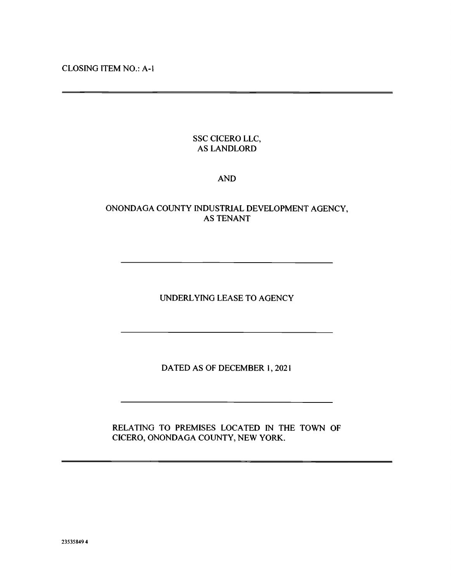CLOSING ITEM NO.: A-I

# SSC CICERO LLC, AS LANDLORD

## AND

# ONONDAGA COUNTY INDUSTRIAL DEVELOPMENT AGENCY, AS TENANT

UNDERLYING LEASE TO AGENCY

DATED AS OF DECEMBER 1, 2021

RELATING TO PREMISES LOCATED IN THE TOWN OF CICERO, ONONDAGA COUNTY, NEW YORK.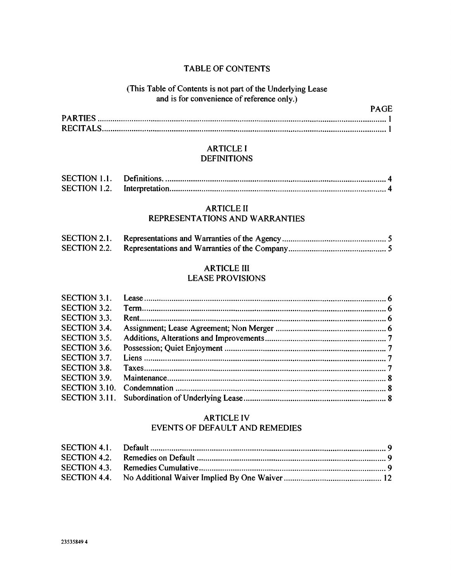## TABLE OF CONTENTS

# (This Table of Contents is not part of the Underlying Lease and is for convenience of reference only.)

PAGE

### ARTICLE I **DEFINITIONS**

| <b>SECTION 1.1.</b> |  |
|---------------------|--|
|                     |  |

#### ARTICLE II REPRESENTATIONS AND WARRANTIES

| <b>SECTION 2.1.</b> |  |
|---------------------|--|
|                     |  |

# ARTICLE III

# LEASE PROVISIONS

| SECTION 3.1.         |  |
|----------------------|--|
| <b>SECTION 3.2.</b>  |  |
| <b>SECTION 3.3.</b>  |  |
| <b>SECTION 3.4.</b>  |  |
| SECTION 3.5.         |  |
| SECTION 3.6.         |  |
| SECTION 3.7.         |  |
| <b>SECTION 3.8.</b>  |  |
| <b>SECTION 3.9.</b>  |  |
| <b>SECTION 3.10.</b> |  |
|                      |  |

#### ARTICLE IV EVENTS OF DEFAULT AND REMEDIES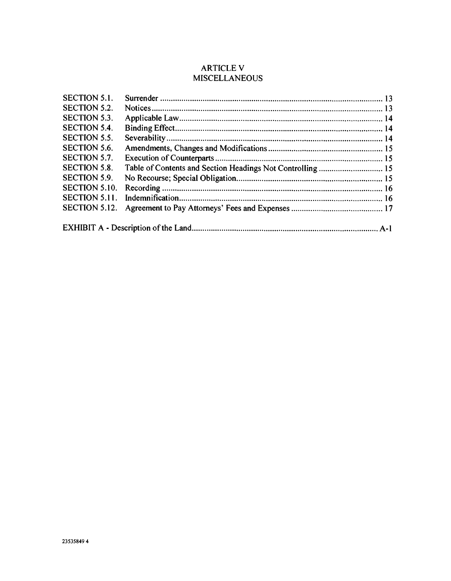# ARTICLE V **MISCELLANEOUS**

| <b>SECTION 5.1.</b>  |                                                            |  |
|----------------------|------------------------------------------------------------|--|
| <b>SECTION 5.2.</b>  |                                                            |  |
| <b>SECTION 5.3.</b>  |                                                            |  |
| SECTION 5.4.         |                                                            |  |
| SECTION 5.5.         |                                                            |  |
| SECTION 5.6.         |                                                            |  |
| SECTION 5.7.         |                                                            |  |
| <b>SECTION 5.8.</b>  | Table of Contents and Section Headings Not Controlling  15 |  |
| <b>SECTION 5.9.</b>  |                                                            |  |
| SECTION 5.10.        |                                                            |  |
| SECTION 5.11.        |                                                            |  |
| <b>SECTION 5.12.</b> |                                                            |  |
|                      |                                                            |  |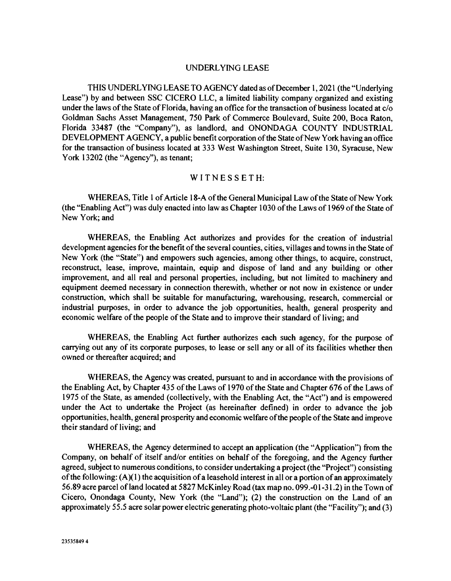#### UNDERLYING LEASE

THIS UNDERLYING LEASE TO AGENCY dated as of December 1, 2021 (the "Underlying Lease") by and between SSC CICERO LLC, a limited liability company organized and existing under the laws of the State of Florida, having an office for the transaction of business located at  $c/o$ Goldman Sachs Asset Management, 750 Park of Commerce Boulevard, Suite 200, Boca Raton, Florida 33487 (the "Company"), as landlord, and ONONDAGA COUNTY INDUSTRIAL DEVELOPMENT AGENCY, a public benefit corporation of the State of New York having an office for the transaction of business located at 333 West Washington Street, Suite 130, Syracuse, New York 13202 (the "Agency"), as tenant;

#### WITNESSETH:

WHEREAS, Title 1 of Article 18-A of the General Municipal Law of the State of New York (the "Enabling Act") was duly enacted into law as Chapter 1030 of the Laws of 1969 of the State of New York; and

WHEREAS, the Enabling Act authorizes and provides for the creation of industrial development agencies for the benefit of the several counties, cities, villages and towns in the State of New York (the "State") and empowers such agencies, among other things, to acquire, construct, reconstruct, lease, improve, maintain, equip and dispose of land and any building or other improvement, and all real and personal properties, including, but not limited to machinery and equipment deemed necessary in connection therewith, whether or not now in existence or under construction, which shall be suitable for manufacturing, warehousing, research, commercial or industrial purposes, in order to advance the job opportunities, health, general prosperity and economic welfare of the people of the State and to improve their standard of living; and

WHEREAS, the Enabling Act further authorizes each such agency, for the purpose of carrying out any of its corporate purposes, to lease or sell any or all of its facilities whether then owned or thereafter acquired; and

WHEREAS, the Agency was created, pursuant to and in accordance with the provisions of the Enabling Act, by Chapter 435 of the Laws of 1970 of the State and Chapter 676 of the Laws of 1975 of the State, as amended (collectively, with the Enabling Act, the "Act") and is empowered under the Act to undertake the Project (as hereinafter defined) in order to advance the job opportunities, health, general prosperity and economic welfare of the people of the State and improve their standard of living; and

WHEREAS, the Agency determined to accept an application (the "Application") from the Company, on behalf of itself and/or entities on behalf of the foregoing, and the Agency further agreed, subject to numerous conditions, to consider undertaking a project (the "Project") consisting of the following:  $(A)(1)$  the acquisition of a leasehold interest in all or a portion of an approximately 56.89 acre parcel of land located at 5827 McKinley Road (tax map no. 099.-0 1-31.2) in the Town of Cicero, Onondaga County, New York (the "Land"); (2) the construction on the Land of an approximately 55.5 acre solar power electric generating photo-voltaic plant (the "Facility"); and (3)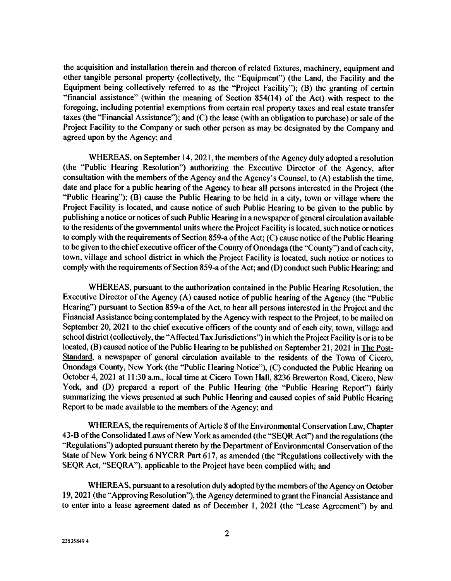the acquisition and installation therein and thereon of related fixtures, machinery, equipment and other tangible personal property (collectively, the "Equipment") (the Land, the Facility and the Equipment being collectively referred to as the "Project Facility"); (B) the granting of certain "financial assistance" (within the meaning of Section 854(14) of the Act) with respect to the foregoing, including potential exemptions from certain real property taxes and real estate transfer taxes (the "Financial Assistance"); and  $(C)$  the lease (with an obligation to purchase) or sale of the Project Facility to the Company or such other person as may be designated by the Company and agreed upon by the Agency; and

WHEREAS, on September 14, 2021, the members of the Agency duly adopted a resolution (the "Public Hearing Resolution") authorizing the Executive Director of the Agency, after consultation with the members of the Agency and the Agency's Counsel, to (A) establish the time, date and place for a public hearing of the Agency to hear all persons interested in the Project (the "Public Hearing"); (B) cause the Public Hearing to be held in a city, town or village where the Project Facility is located, and cause notice of such Public Hearing to be given to the public by publishing a notice or notices of such Public Hearing in a newspaper of general circulation available to the residents of the governmental units where the Project Facility is located, such notice or notices to comply with the requirements of Section 859-a of the Act; (C) cause notice of the Public Hearing to be given to the chief executive officer of the County of Onondaga (the "County") and of each city, town, village and school district in which the Project Facility is located, such notice or notices to comply with the requirements of Section 859-a of the Act; and (D) conduct such Public Hearing; and

WHEREAS, pursuant to the authorization contained in the Public Hearing Resolution, the Executive Director of the Agency (A) caused notice of public hearing of the Agency (the "Public Hearing") pursuant to Section 859-a of the Act, to hear all persons interested in the Project and the Financial Assistance being contemplated by the Agency with respect to the Project, to be mailed on September 20, 2021 to the chief executive officers of the county and of each city, town, village and school district (collectively, the "Affected Tax Jurisdictions") in which the Project Facility is or is to be located, (B) caused notice of the Public Hearing to be published on September 21, 2021 in The Post-Standard, a newspaper of general circulation available to the residents of the Town of Cicero, Onondaga County, New York (the "Public Hearing Notice"), (C) conducted the Public Hearing on October 4, 2021 at 11:30 a.m., local time at Cicero Town Hall, 8236 Brewerton Road, Cicero, New York, and (D) prepared a report of the Public Hearing (the "Public Hearing Report") fairly summarizing the views presented at such Public Hearing and caused copies of said Public Hearing Report to be made available to the members of the Agency; and

WHEREAS, the requirements of Article 8 of the Environmental Conservation Law, Chapter 43-B of the Consolidated Laws of New York as amended (the "SEQR Act") and the regulations (the "Regulations") adopted pursuant thereto by the Department of Environmental Conservation of the State of New York being 6 NYCRR Part 617, as amended (the "Regulations collectively with the SEQR Act, "SEQRA"), applicable to the Project have been complied with; and

WHEREAS, pursuant to a resolution duly adopted by the members of the Agency on October 19, 2021 (the "Approving Resolution"), the Agency determined to grant the Financial Assistance and to enter into a lease agreement dated as of December 1, 2021 (the "Lease Agreement") by and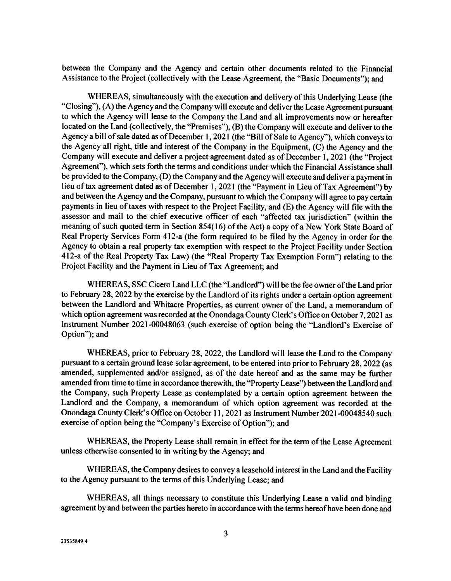between the Company and the Agency and certain other documents related to the Financial Assistance to the Project (collectively with the Lease Agreement, the "Basic Documents"); and

WHEREAS, simultaneously with the execution and delivery of this Underlying Lease (the "Closing"), (A) the Agency and the Company will execute and deliver the Lease Agreement pursuant to which the Agency will lease to the Company the Land and all improvements now or hereafter located on the Land (collectively, the "Premises"), (B) the Company will execute and deliver to the Agency a bill of sale dated as of December 1, 2021 (the "Bill of Sale to Agency"), which conveys to the Agency all right, title and interest of the Company in the Equipment, (C) the Agency and the Company will execute and deliver a project agreement dated as of December 1, 2021 (the "Project Agreement"), which sets forth the terms and conditions under which the Financial Assistance shall be provided to the Company, (D) the Company and the Agency will execute and deliver a payment in lieu of tax agreement dated as of December 1, 2021 (the "Payment in Lieu of Tax Agreement") by and between the Agency and the Company, pursuant to which the Company will agree to pay certain payments in lieu of taxes with respect to the Project Facility, and (E) the Agency will file with the assessor and mail to the chief executive officer of each "affected tax jurisdiction" (within the meaning of such quoted term in Section 854(16) of the Act) a copy of a New York State Board of Real Property Services Form 412-a (the form required to be filed by the Agency in order for the Agency to obtain a real property tax exemption with respect to the Project Facility under Section 412-a of the Real Property Tax Law) (the "Real Property Tax Exemption Form") relating to the Project Facility and the Payment in Lieu of Tax Agreement; and

WHEREAS, SSC Cicero Land LLC (the "Landlord") will be the fee owner of the Land prior to February 28, 2022 by the exercise by the Landlord of its rights under a certain option agreement between the Landlord and Whitacre Properties, as current owner of the Land, a memorandum of which option agreement was recorded at the Onondaga County Clerk's Office on October 7, 2021 as Instrument Number 2021-00048063 (such exercise of option being the "Landlord's Exercise of Option"); and

WHEREAS, prior to February 28, 2022, the Landlord will lease the Land to the Company pursuant to a certain ground lease solar agreement, to be entered into prior to February 28, 2022 (as amended, supplemented and/or assigned, as of the date hereof and as the same may be further amended from time to time in accordance therewith, the "Property Lease") between the Landlord and the Company, such Property Lease as contemplated by a certain option agreement between the Landlord and the Company, a memorandum of which option agreement was recorded at the Onondaga County Clerk's Office on October 11, 2021 as Instrument Number 2021-00048540 such exercise of option being the "Company's Exercise of Option"); and

WHEREAS, the Property Lease shall remain in effect for the term of the Lease Agreement unless otherwise consented to in writing by the Agency; and

WHEREAS, the Company desires to convey a leasehold interest in the Land and the Facility to the Agency pursuant to the terms of this Underlying Lease; and

WHEREAS, all things necessary to constitute this Underlying Lease a valid and binding agreement by and between the parties hereto in accordance with the terms hereof have been done and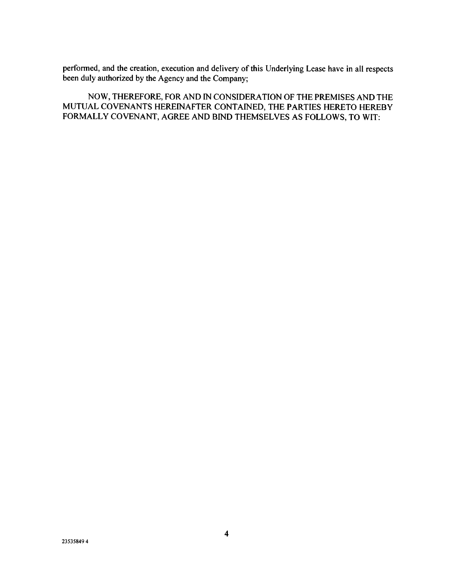performed, and the creation, execution and delivery of this Underlying Lease have in all respects been duly authorized by the Agency and the Company;

NOW, THEREFORE, FOR AND IN CONSIDERATION OF THE PREMISES AND THE MUTUAL COVENANTS HEREINAFTER CONTAINED, THE PARTIES HERETO HEREBY FORMALLY COVENANT, AGREE AND BIND THEMSELVES AS FOLLOWS, TO WIT: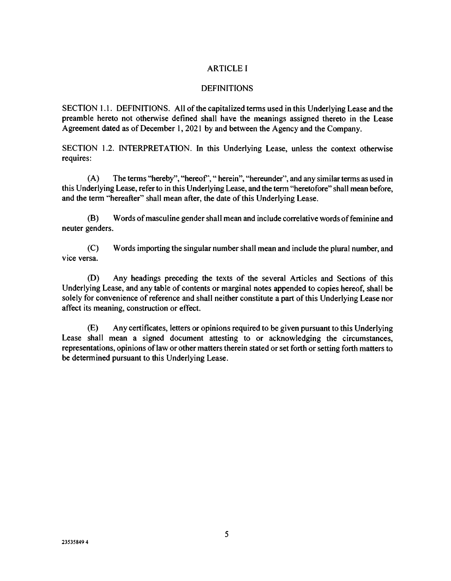# ARTICLE I

### DEFINITIONS

SECTION 1.1. DEFINITIONS. All of the capitalized terms used in this Underlying Lease and the preamble hereto not otherwise defined shall have the meanings assigned thereto in the Lease Agreement dated as of December 1, 2021 by and between the Agency and the Company.

SECTION 1.2. INTERPRETATION. In this Underlying Lease, unless the context otherwise requires:

(A) The terms "hereby", "hereof', " herein", "hereunder", and any similar terms as used in this Underlying Lease, refer to in this Underlying Lease, and the term "heretofore" shall mean before, and the term "hereafter" shall mean after, the date of this Underlying Lease.

(B) Words of masculine gender shall mean and include correlative words of feminine and neuter genders.

(C) Words importing the singular number shall mean and include the plural number, and vice versa.

(D) Any headings preceding the texts of the several Articles and Sections of this Underlying Lease, and any table of contents or marginal notes appended to copies hereof, shall be solely for convenience of reference and shall neither constitute a part of this Underlying Lease nor affect its meaning, construction or effect.

(E) Any certificates, letters or opinions required to be given pursuant to this Underlying Lease shall mean a signed document attesting to or acknowledging the circumstances, representations, opinions of law or other matters therein stated or set forth or setting forth matters to be determined pursuant to this Underlying Lease.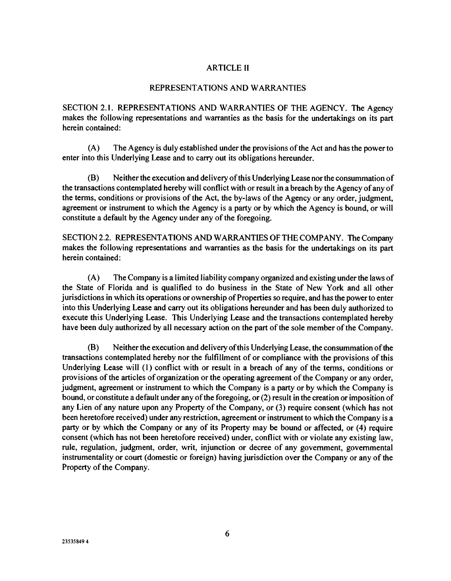## **ARTICLE II**

#### REPRESENTATIONS AND WARRANTIES

SECTION 2.1. REPRESENTATIONS AND WARRANTIES OF THE AGENCY. The Agency makes the following representations and warranties as the basis for the undertakings on its part herein contained:

(A) The Agency is duly established under the provisions of the Act and has the power to enter into this Underlying Lease and to carry out its obligations hereunder.

(B) Neither the execution and delivery of this Underlying Lease nor the consummation of the transactions contemplated hereby will conflict with or result in a breach by the Agency of any of the terms, conditions or provisions of the Act, the by-laws of the Agency or any order, judgment, agreement or instrument to which the Agency is a party or by which the Agency is bound, or will constitute a default by the Agency under any of the foregoing.

SECTION 2.2. REPRESENTATIONS AND WARRANTIES OF THE COMPANY. The Company makes the following representations and warranties as the basis for the undertakings on its part herein contained:

(A) The Company is a limited liability company organized and existing under the laws of the State of Florida and is qualified to do business in the State of New York and all other jurisdictions in which its operations or ownership of Properties so require, and has the power to enter into this Underlying Lease and carry out its obligations hereunder and has been duly authorized to execute this Underlying Lease. This Underlying Lease and the transactions contemplated hereby have been duly authorized by all necessary action on the part of the sole member of the Company.

(B) Neither the execution and delivery of this Underlying Lease, the consummation of the transactions contemplated hereby nor the fulfillment of or compliance with the provisions of this Underlying Lease will (1) conflict with or result in a breach of any of the terms, conditions or provisions of the articles of organization or the operating agreement of the Company or any order, judgment, agreement or instrument to which the Company is a party or by which the Company is bound, or constitute a default under any of the foregoing, or (2) result in the creation or imposition of any Lien of any nature upon any Property of the Company, or (3) require consent (which has not been heretofore received) under any restriction, agreement or instrument to which the Company is a party or by which the Company or any of its Property may be bound or affected, or (4) require consent (which has not been heretofore received) under, conflict with or violate any existing law, rule, regulation, judgment, order, writ, injunction or decree of any government, governmental instrumentality or court (domestic or foreign) having jurisdiction over the Company or any of the Property of the Company.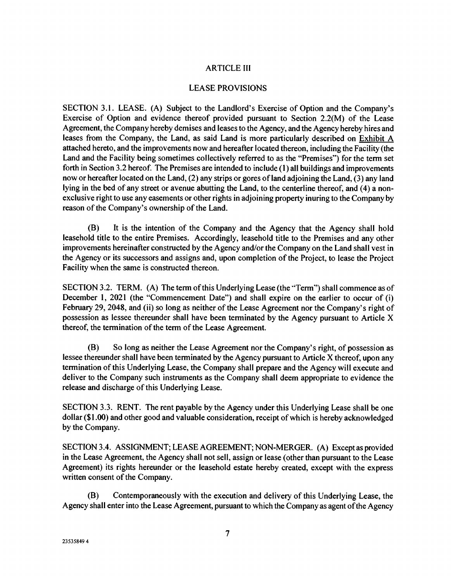# ARTICLE Ill

#### LEASE PROVISIONS

SECTION 3.1. LEASE. (A) Subject to the Landlord's Exercise of Option and the Company's Exercise of Option and evidence thereof provided pursuant to Section 2.2(M) of the Lease Agreement, the Company hereby demises and leases to the Agency, and the Agency hereby hires and leases from the Company, the Land, as said Land is more particularly described on Exhibit A attached hereto, and the improvements now and hereafter located thereon, including the Facility (the Land and the Facility being sometimes collectively referred to as the "Premises") for the term set forth in Section 3.2 hereof. The Premises are intended to include (1) all buildings and improvements now or hereafter located on the Land, (2) any strips or gores of land adjoining the Land, (3) any land lying in the bed of any street or avenue abutting the Land, to the centerline thereof, and (4) a nonexclusive right to use any easements or other rights in adjoining property inuring to the Company by reason of the Company's ownership of the Land.

(B) It is the intention of the Company and the Agency that the Agency shall hold leasehold title to the entire Premises. Accordingly, leasehold title to the Premises and any other improvements hereinafter constructed by the Agency and/or the Company on the Land shall vest in the Agency or its successors and assigns and, upon completion of the Project, to lease the Project Facility when the same is constructed thereon.

SECTION 3.2. TERM. (A) The term of this Underlying Lease (the "Term") shall commence as of December 1, 2021 (the "Commencement Date") and shall expire on the earlier to occur of (i) February 29, 2048, and (ii) so long as neither of the Lease Agreement nor the Company's right of possession as lessee thereunder shall have been terminated by the Agency pursuant to Article X thereof, the termination of the term of the Lease Agreement.

(B) So long as neither the Lease Agreement nor the Company's right, of possession as lessee thereunder shall have been terminated by the Agency pursuant to Article X thereof, upon any termination of this Underlying Lease, the Company shall prepare and the Agency will execute and deliver to the Company such instruments as the Company shall deem appropriate to evidence the release and discharge of this Underlying Lease.

SECTION 3.3. RENT. The rent payable by the Agency under this Underlying Lease shall be one dollar (\$1.00) and other good and valuable consideration, receipt of which is hereby acknowledged by the Company.

SECTION 3.4. ASSIGNMENT; LEASE AGREEMENT; NON-MERGER. (A) Except as provided in the Lease Agreement, the Agency shall not sell, assign or lease (other than pursuant to the Lease Agreement) its rights hereunder or the leasehold estate hereby created, except with the express written consent of the Company.

(B) Contemporaneously with the execution and delivery of this Underlying Lease, the Agency shall enter into the Lease Agreement, pursuant to which the Company as agent of the Agency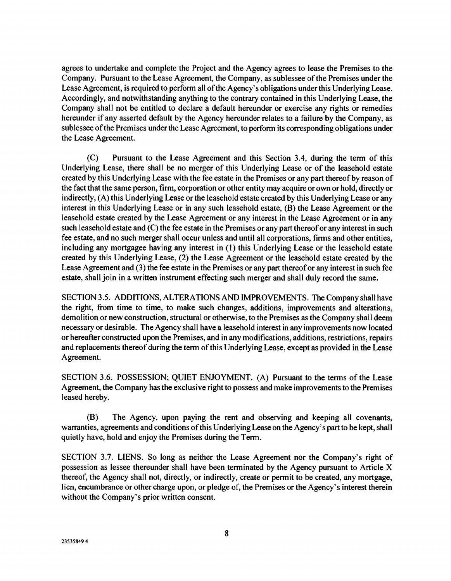agrees to undertake and complete the Project and the Agency agrees to lease the Premises to the Company. Pursuant to the Lease Agreement, the Company, as sublessee of the Premises under the Lease Agreement, is required to perform all of the Agency's obligations under this Underlying Lease. Accordingly, and notwithstanding anything to the contrary contained in this Underlying Lease, the Company shall not be entitled to declare a default hereunder or exercise any rights or remedies hereunder if any asserted default by the Agency hereunder relates to a failure by the Company, as sublessee of the Premises under the Lease Agreement, to perform its corresponding obligations under the Lease Agreement.

(C) Pursuant to the Lease Agreement and this Section 3.4, during the term of this Underlying Lease, there shall be no merger of this Underlying Lease or of the leasehold estate created by this Underlying Lease with the fee estate in the Premises or any part thereof by reason of the fact that the same person, firm, corporation or other entity may acquire or own or hold, directly or indirectly, (A) this Underlying Lease or the leasehold estate created by this Underlying Lease or any interest in this Underlying Lease or in any such leasehold estate, (B) the Lease Agreement or the leasehold estate created by the Lease Agreement or any interest in the Lease Agreement or in any such leasehold estate and (C) the fee estate in the Premises or any part thereof or any interest in such fee estate, and no such merger shall occur unless and until all corporations, firms and other entities, including any mortgagee having any interest in (1) this Underlying Lease or the leasehold estate created by this Underlying Lease, (2) the Lease Agreement or the leasehold estate created by the Lease Agreement and (3) the fee estate in the Premises or any part thereof or any interest in such fee estate, shall join in a written instrument effecting such merger and shall duly record the same.

SECTION 3.5. ADDITIONS, ALTERATIONS AND IMPROVEMENTS. The Company shall have the right, from time to time, to make such changes, additions, improvements and alterations, demolition or new construction, structural or otherwise, to the Premises as the Company shall deem necessary or desirable. The Agency shall have a leasehold interest in any improvements now located or hereafter constructed upon the Premises, and in any modifications, additions, restrictions, repairs and replacements thereof during the term of this Underlying Lease, except as provided in the Lease Agreement.

SECTION 3.6. POSSESSION; QUIET ENJOYMENT. (A) Pursuant to the terms of the Lease Agreement, the Company has the exclusive right to possess and make improvements to the Premises leased hereby.

(B) The Agency, upon paying the rent and observing and keeping all covenants, warranties, agreements and conditions of this Underlying Lease on the Agency's part to be kept, shall quietly have, hold and enjoy the Premises during the Term.

SECTION 3.7. LIENS. So long as neither the Lease Agreement nor the Company's right of possession as lessee thereunder shall have been terminated by the Agency pursuant to Article X thereof, the Agency shall not, directly, or indirectly, create or permit to be created, any mortgage, lien, encumbrance or other charge upon, or pledge of, the Premises or the Agency's interest therein without the Company's prior written consent.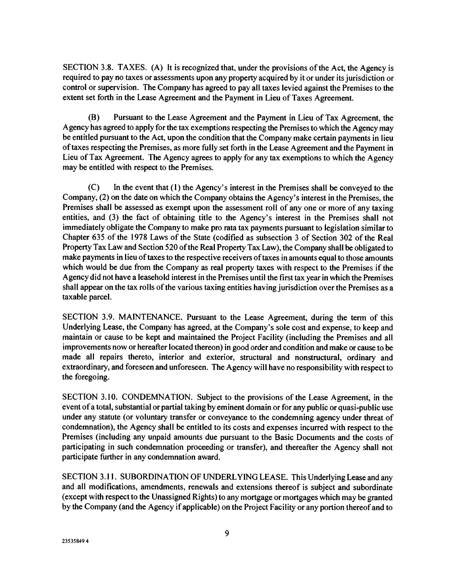SECTION 3.8. TAXES. (A) It is recognized that, under the provisions of the Act, the Agency is required to pay no taxes or assessments upon any property acquired by it or under its jurisdiction or control or supervision. The Company has agreed to pay all taxes levied against the Premises to the extent set forth in the Lease Agreement and the Payment in Lieu of Taxes Agreement.

(B) Pursuant to the Lease Agreement and the Payment in Lieu of Tax Agreement, the Agency has agreed to apply for the tax exemptions respecting the Premises to which the Agency may be entitled pursuant to the Act, upon the condition that the Company make certain payments in lieu of taxes respecting the Premises, as more fully set forth in the Lease Agreement and the Payment in Lieu of Tax Agreement. The Agency agrees to apply for any tax exemptions to which the Agency may be entitled with respect to the Premises.

(C) In the event that (1) the Agency's interest in the Premises shall be conveyed to the Company, (2) on the date on which the Company obtains the Agency's interest in the Premises, the Premises shall be assessed as exempt upon the assessment roll of any one or more of any taxing entities, and (3) the fact of obtaining title to the Agency's interest in the Premises shall not immediately obligate the Company to make pro rata tax payments pursuant to legislation similar to Chapter 635 of the 1978 Laws of the State (codified as subsection 3 of Section 302 of the Real Property Tax Law and Section 520 of the Real Property Tax Law), the Company shall be obligated to make payments in lieu of taxes to the respective receivers of taxes in amounts equal to those amounts which would be due from the Company as real property taxes with respect to the Premises if the Agency did not have a leasehold interest in the Premises until the first tax year in which the Premises shall appear on the tax rolls of the various taxing entities having jurisdiction over the Premises as a taxable parcel.

SECTION 3.9. MAINTENANCE. Pursuant to the Lease Agreement, during the term of this Underlying Lease, the Company has agreed, at the Company's sole cost and expense, to keep and maintain or cause to be kept and maintained the Project Facility (including the Premises and all improvements now or hereafter located thereon) in good order and condition and make or cause to be made all repairs thereto, interior and exterior, structural and nonstructural, ordinary and extraordinary, and foreseen and unforeseen. The Agency will have no responsibility with respect to the foregoing.

SECTION 3.10. CONDEMNATION. Subject to the provisions of the Lease Agreement, in the event of a total, substantial or partial taking by eminent domain or for any public or quasi-public use under any statute (or voluntary transfer or conveyance to the condemning agency under threat of condemnation), the Agency shall be entitled to its costs and expenses incurred with respect to the Premises (including any unpaid amounts due pursuant to the Basic Documents and the costs of participating in such condemnation proceeding or transfer), and thereafter the Agency shall not participate further in any condemnation award.

SECTION 3.11. SUBORDINATION OF UNDERLYING LEASE. This Underlying Lease and any and all modifications, amendments, renewals and extensions thereof is subject and subordinate (except with respect to the Unassigned Rights) to any mortgage or mortgages which may be granted by the Company (and the Agency if applicable) on the Project Facility or any portion thereof and to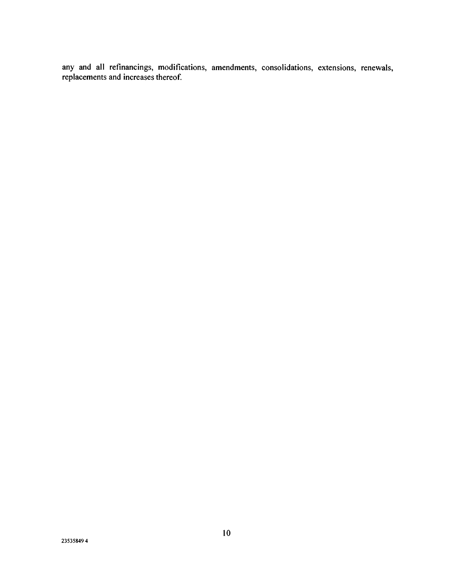any and all refinancings, modifications, amendments, consolidations, extensions, renewals, replacements and increases thereof.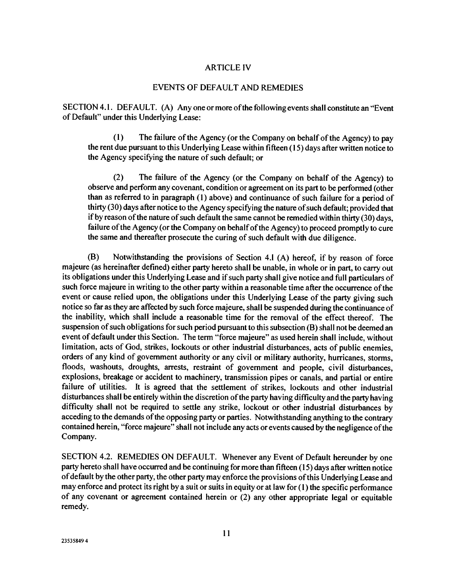#### ARTICLE IV

#### EVENTS OF DEFAULT AND REMEDIES

SECTION 4.1. DEFAULT. (A) Anyone or more of the following events shall constitute an "Event of Default" under this Underlying Lease:

(1) The failure of the Agency (or the Company on behalf of the Agency) to pay the rent due pursuant to this Underlying Lease within fifteen (15) days after written notice to the Agency specifying the nature of such default; or

(2) The failure of the Agency (or the Company on behalf of the Agency) to observe and perform any covenant, condition or agreement on its part to be performed (other than as referred to in paragraph (I) above) and continuance of such failure for a period of thirty (30) days after notice to the Agency specifying the nature of such default; provided that if by reason of the nature of such default the same cannot be remedied within thirty (30) days, failure of the Agency (or the Company on behalf of the Agency) to proceed promptly to cure the same and thereafter prosecute the curing of such default with due diligence.

(B) Notwithstanding the provisions of Section 4.1 (A) hereof, if by reason of force majeure (as hereinafter defined) either party hereto shall be unable, in whole or in part, to carry out its obligations under this Underlying Lease and if such party shall give notice and full particulars of such force majeure in writing to the other party within a reasonable time after the occurrence of the event or cause relied upon, the obligations under this Underlying Lease of the party giving such notice so far as they are affected by such force majeure, shall be suspended during the continuance of the inability, which shall include a reasonable time for the removal of the effect thereof. The suspension of such obligations for such period pursuant to this subsection (B) shall not be deemed an event of default under this Section. The term "force majeure" as used herein shall include, without limitation, acts of God, strikes, lockouts or other industrial disturbances, acts of public enemies, orders of any kind of government authority or any civil or military authority, hurricanes, storms, floods, washouts, droughts, arrests, restraint of government and people, civil disturbances, explosions, breakage or accident to machinery, transmission pipes or canals, and partial or entire failure of utilities. It is agreed that the settlement of strikes, lockouts and other industrial disturbances shall be entirely within the discretion of the party having difficulty and the party having difficulty shall not be required to settle any strike, lockout or other industrial disturbances by acceding to the demands of the opposing party or parties. Notwithstanding anything to the contrary contained herein, "force majeure" shall not include any acts or events caused by the negligence of the Company.

SECTION 4.2. REMEDIES ON DEFAULT. Whenever any Event of Default hereunder by one party hereto shall have occurred and be continuing for more than fifteen (15) days after written notice of default by the other party, the other party may enforce the provisions of this Underlying Lease and may enforce and protect its right by a suit or suits in equity or at law for (1) the specific performance of any covenant or agreement contained herein or (2) any other appropriate legal or equitable remedy.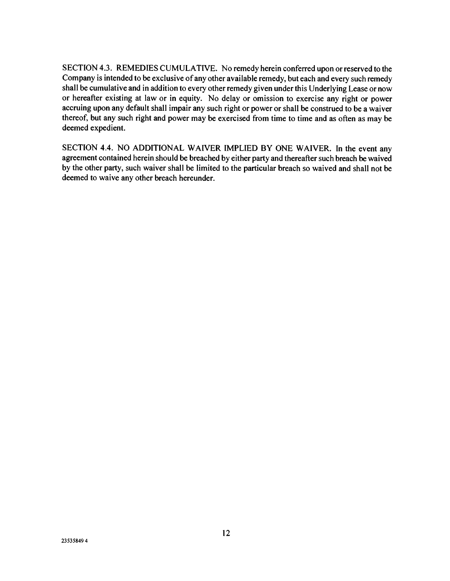SECTION 4.3. REMEDIES CUMULATIVE. No remedy herein conferred upon or reserved to the Company is intended to be exclusive of any other available remedy, but each and every such remedy shall be cumulative and in addition to every other remedy given under this Underlying Lease or now or hereafter existing at law or in equity. No delay or omission to exercise any right or power accruing upon any default shall impair any such right or power or shall be construed to be a waiver thereof, but any such right and power may be exercised from time to time and as often as may be deemed expedient.

SECTION 4.4. NO ADDITIONAL WAIVER IMPLIED BY ONE WAIVER. In the event any agreement contained herein should be breached by either party and thereafter such breach be waived by the other party, such waiver shall be limited to the particular breach so waived and shall not be deemed to waive any other breach hereunder.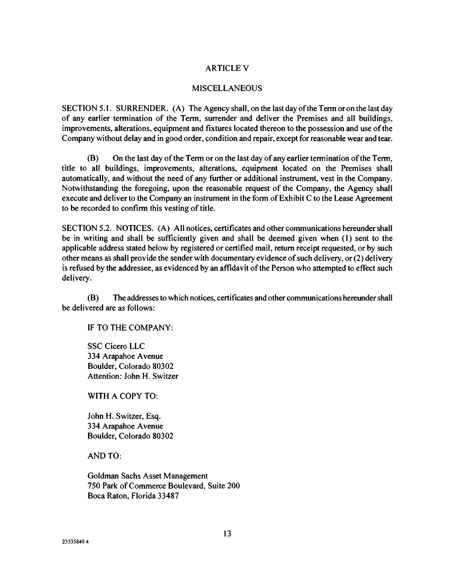### ARTICLE V

#### MISCELLANEOUS

SECTION 5.1. SURRENDER. (A) The Agency shall, on the last day of the Term or on the last day of any earlier termination of the Term, surrender and deliver the Premises and all buildings, improvements, alterations, equipment and fixtures located thereon to the possession and use of the Company without delay and in good order, condition and repair, except for reasonable wear and tear.

(B) On the last day of the Term or on the last day of any earlier termination of the Term, title to all buildings, improvements, alterations, equipment located on the Premises shall automatically, and without the need of any further or additional instrument, vest in the Company. Notwithstanding the foregoing, upon the reasonable request of the Company, the Agency shall execute and deliver to the Company an instrument in the form of Exhibit C to the Lease Agreement to be recorded to confirm this vesting of title.

SECTION 5.2. NOTICES. (A) All notices, certificates and other communications hereunder shall be in writing and shall be sufficiently given and shall be deemed given when (1) sent to the applicable address stated below by registered or certified mail, return receipt requested, or by such other means as shall provide the sender with documentary evidence of such delivery, or (2) delivery is refused by the addressee, as evidenced by an affidavit of the Person who attempted to effect such delivery.

(B) The addresses to which notices, certificates and other communications hereunder shall be delivered are as follows:

IF TO THE COMPANY:

SSC Cicero LLC 334 Arapahoe Avenue Boulder, Colorado 80302 Attention: John H. Switzer

WITH A COPY TO:

John H. Switzer, Esq. 334 Arapahoe Avenue Boulder, Colorado 80302

AND TO:

Goldman Sachs Asset Management 750 Park of Commerce Boulevard, Suite 200 Boca Raton, Florida 33487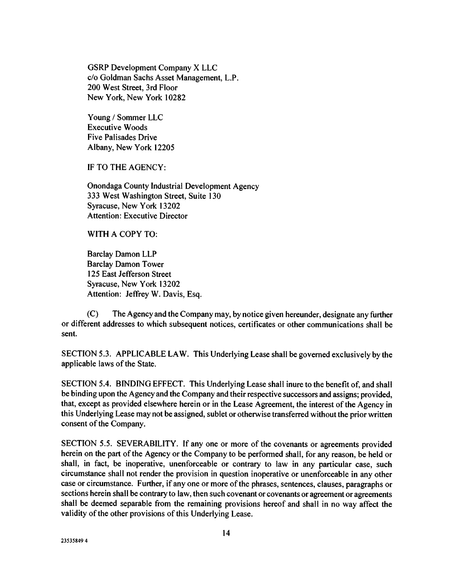GSRP Development Company X LLC c/o Goldman Sachs Asset Management, L.P. 200 West Street, 3rd Floor New York, New York 10282

Young / Sommer LLC Executive Woods Five Palisades Drive Albany, New York 12205

IF TO THE AGENCY:

Onondaga County Industrial Development Agency 333 West Washington Street, Suite 130 Syracuse, New York 13202 Attention: Executive Director

## WITH A COPY TO:

Barclay Damon LLP Barclay Damon Tower 125 East Jefferson Street Syracuse, New York 13202 Attention: Jeffrey W. Davis, Esq.

(C) The Agency and the Company may, by notice given hereunder, designate any further or different addresses to which subsequent notices, certificates or other communications shall be sent.

SECTION 5.3. APPLICABLE LAW. This Underlying Lease shall be governed exclusively by the applicable laws of the State.

SECTION 5.4. BINDING EFFECT. This Underlying Lease shall inure to the benefit of, and shall be binding upon the Agency and the Company and their respective successors and assigns; provided, that, except as provided elsewhere herein or in the Lease Agreement, the interest of the Agency in this Underlying Lease may not be assigned, sublet or otherwise transferred without the prior written consent of the Company.

SECTION 5.5. SEVERABILITY. If any one or more of the covenants or agreements provided herein on the part of the Agency or the Company to be performed shall, for any reason, be held or shall, in fact, be inoperative, unenforceable or contrary to law in any particular case, such circumstance shall not render the provision in question inoperative or unenforceable in any other case or circumstance. Further, if any one or more of the phrases, sentences, clauses, paragraphs or sections herein shall be contrary to law, then such covenant or covenants or agreement or agreements shall be deemed separable from the remaining provisions hereof and shall in no way affect the validity of the other provisions of this Underlying Lease.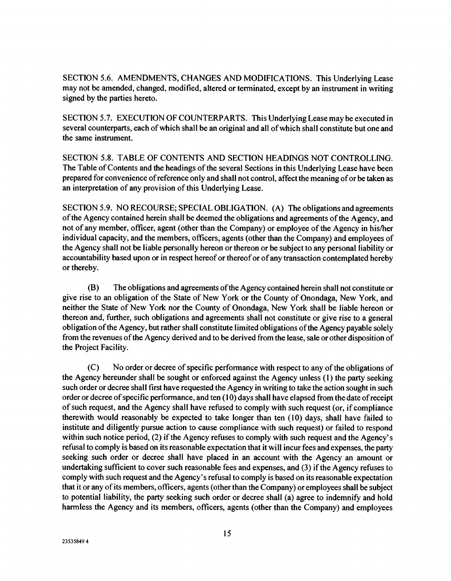SECTION 5.6. AMENDMENTS, CHANGES AND MODIFICATIONS. This Underlying Lease may not be amended, changed, modified, altered or terminated, except by an instrument in writing signed by the parties hereto.

SECTION 5.7. EXECUTION OF COUNTERPARTS. This Underlying Lease may be executed in several counterparts, each of which shall be an original and all of which shall constitute but one and the same instrument.

SECTION 5.8. TABLE OF CONTENTS AND SECTION HEADINGS NOT CONTROLLING. The Table of Contents and the headings of the several Sections in this Underlying Lease have been prepared for convenience of reference only and shall not control, affect the meaning of or be taken as an interpretation of any provision of this Underlying Lease.

SECTION 5.9. NO RECOURSE; SPECIAL OBLIGATION. (A) The obligations and agreements of the Agency contained herein shall be deemed the obligations and agreements of the Agency, and not of any member, officer, agent (other than the Company) or employee of the Agency in his/her individual capacity, and the members, officers, agents (other than the Company) and employees of the Agency shall not be liable personally hereon or thereon or be subject to any personal liability or accountability based upon or in respect hereof or thereof or of any transaction contemplated hereby or thereby.

(B) The obligations and agreements of the Agency contained herein shall not constitute or give rise to an obligation of the State of New York or the County of Onondaga, New York, and neither the State of New York nor the County of Onondaga, New York shall be liable hereon or thereon and, further, such obligations and agreements shall not constitute or give rise to a general obligation of the Agency, but rather shall constitute limited obligations of the Agency payable solely from the revenues of the Agency derived and to be derived from the lease, sale or other disposition of the Project Facility.

(C) No order or decree of specific performance with respect to any of the obligations of the Agency hereunder shall be sought or enforced against the Agency unless (1) the party seeking such order or decree shall first have requested the Agency in writing to take the action sought in such order or decree of specific performance, and ten (10) days shall have elapsed from the date of receipt of such request, and the Agency shall have refused to comply with such request (or, if compliance therewith would reasonably be expected to take longer than ten (10) days, shall have failed to institute and diligently pursue action to cause compliance with such request) or failed to respond within such notice period, (2) if the Agency refuses to comply with such request and the Agency's refusal to comply is based on its reasonable expectation that it will incur fees and expenses, the party seeking such order or decree shall have placed in an account with the Agency an amount or undertaking sufficient to cover such reasonable fees and expenses, and (3) if the Agency refuses to comply with such request and the Agency's refusal to comply is based on its reasonable expectation that it or any of its members, officers, agents (other than the Company) or employees shall be subject to potential liability, the party seeking such order or decree shall (a) agree to indemnify and hold harmless the Agency and its members, officers, agents (other than the Company) and employees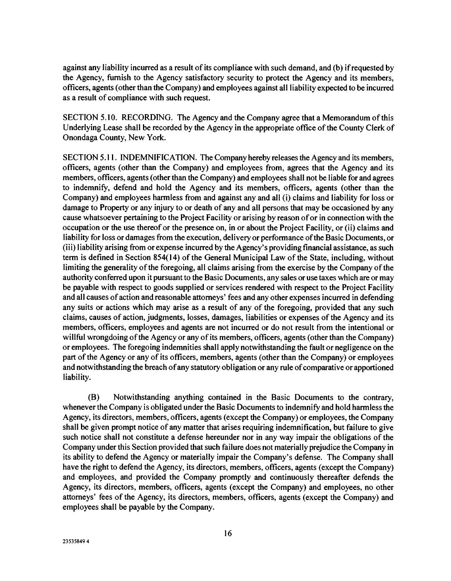against any liability incurred as a result of its compliance with such demand, and (b) if requested by the Agency, furnish to the Agency satisfactory security to protect the Agency and its members, officers, agents (other than the Company) and employees against all liability expected to be incurred as a result of compliance with such request.

SECTION 5.10. RECORDING. The Agency and the Company agree that a Memorandum of this Underlying Lease shall be recorded by the Agency in the appropriate office of the County Clerk of Onondaga County, New York.

SECTION 5.11. INDEMNIFICATION. The Company hereby releases the Agency and its members, officers, agents (other than the Company) and employees from, agrees that the Agency and its members, officers, agents (other than the Company) and employees shall not be liable for and agrees to indemnify, defend and hold the Agency and its members, officers, agents (other than the Company) and employees harmless from and against any and all (1) claims and liability for loss or damage to Property or any injury to or death of any and all persons that may be occasioned by any cause whatsoever pertaining to the Project Facility or arising by reason of or in connection with the occupation or the use thereof or the presence on, in or about the Project Facility, or (ii) claims and liability for loss or damages from the execution, delivery or performance of the Basic Documents, or (iii) liability arising from or expense incurred by the Agency's providing financial assistance, as such term is defined in Section 854(14) of the General Municipal Law of the State, including, without limiting the generality of the foregoing, all claims arising from the exercise by the Company of the authority conferred upon it pursuant to the Basic Documents, any sales or use taxes which are or may be payable with respect to goods supplied or services rendered with respect to the Project Facility and all causes of action and reasonable attorneys' fees and any other expenses incurred in defending any suits or actions which may arise as a result of any of the foregoing, provided that any such claims, causes of action, judgments, losses, damages, liabilities or expenses of the Agency and its members, officers, employees and agents are not incurred or do not result from the intentional or willful wrongdoing of the Agency or any of its members, officers, agents (other than the Company) or employees. The foregoing indemnities shall apply notwithstanding the fault or negligence on the part of the Agency or any of its officers, members, agents (other than the Company) or employees and notwithstanding the breach of any statutory obligation or any rule of comparative or apportioned liability.

(B) Notwithstanding anything contained in the Basic Documents to the contrary, whenever the Company is obligated under the Basic Documents to indemnify and hold harmless the Agency, its directors, members, officers, agents (except the Company) or employees, the Company shall be given prompt notice of any matter that arises requiring indemnification, but failure to give such notice shall not constitute a defense hereunder nor in any way impair the obligations of the Company under this Section provided that such failure does not materially prejudice the Company in its ability to defend the Agency or materially impair the Company's defense. The Company shall have the right to defend the Agency, its directors, members, officers, agents (except the Company) and employees, and provided the Company promptly and continuously thereafter defends the Agency, its directors, members, officers, agents (except the Company) and employees, no other attorneys' fees of the Agency, its directors, members, officers, agents (except the Company) and employees shall be payable by the Company.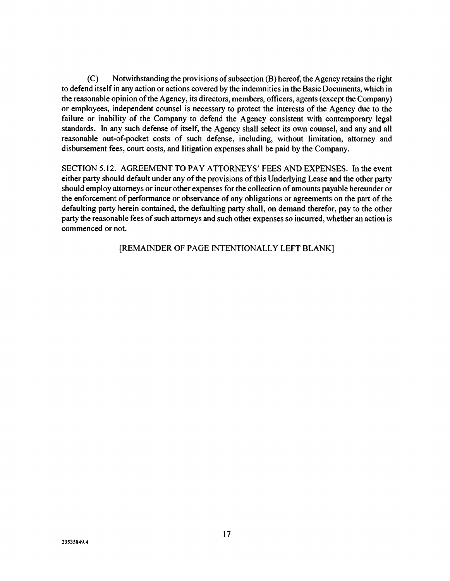(C) Notwithstanding the provisions of subsection (B) hereof, the Agency retains the right to defend itself in any action or actions covered by the indemnities in the Basic Documents, which in the reasonable opinion of the Agency, its directors, members, officers, agents (except the Company) or employees, independent counsel is necessary to protect the interests of the Agency due to the failure or inability of the Company to defend the Agency consistent with contemporary legal standards. In any such defense of itself, the Agency shall select its own counsel, and any and all reasonable out-of-pocket costs of such defense, including, without limitation, attorney and disbursement fees, court costs, and litigation expenses shall be paid by the Company.

SECTION 5.12. AGREEMENT TO PAY ATTORNEYS' FEES AND EXPENSES. In the event either party should default under any of the provisions of this Underlying Lease and the other party should employ attorneys or incur other expenses for the collection of amounts payable hereunder or the enforcement of performance or observance of any obligations or agreements on the part of the defaulting party herein contained, the defaulting party shall, on demand therefor, pay to the other party the reasonable fees of such attorneys and such other expenses so incurred, whether an action is commenced or not.

[REMAINDER OF PAGE INTENTIONALLY LEFT BLANK]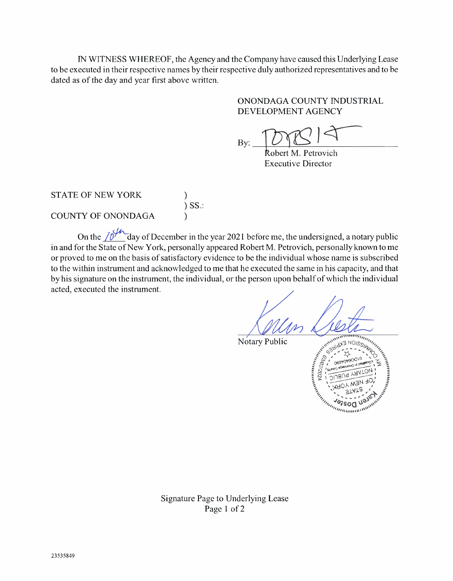IN WITNESS WHEREOF, the Agency and the Company have caused this Underlying Lease to be executed in their respective names by their respective duly authorized representatives and to be dated as of the day and year first above written.

> ONONDAGA COUNTY INDUSTRIAL DEVELOPMENT AGENCY

 $mR$ 

obert M. Petrovich Executive Director

STATE OF NEW YORK

) )SS.: )

COUNTY OF ONONDAGA

On the  $\sqrt{\frac{1}{2}}$  day of December in the year 2021 before me, the undersigned, a notary public in and for the State of New York, personally appeared Robert M. Petrovich, personally known to me or proved to me on the basis of satisfactory evidence to be the individual whose name is subscribed to the within instrument and acknowledged to me that he executed the same in his capacity, and that by his signature on the instrument, the individual, or the person upon behalf of which the individual acted, executed the instrument.

Notary Public



Signature Page to Underlying Lease Page 1 of 2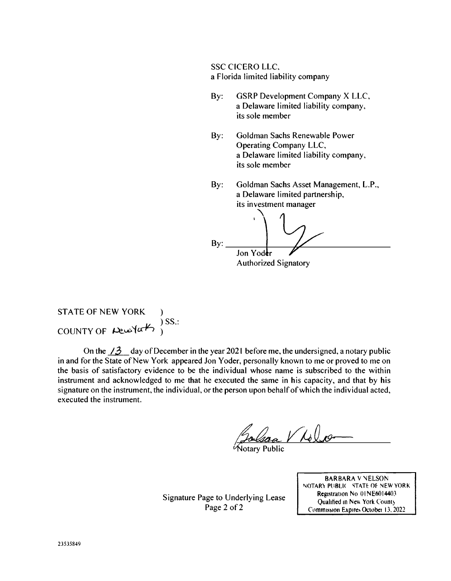SSC CICERO LLC. a Florida limited liability company

- By: GSRP Development Company X LLC, a Delaware limited liability company, its sole member
- By: Goldman Sachs Renewable Power Operating Company LLC. a Delaware limited liability company, its sole member
- By: Goldman Sachs Asset Management, L.P., a Delaware limited partnership, its investment manager

 $\mathbf{By:}$ Jon Yoder Authorized Signatory

**STATE OF NEW YORK** COUNTY OF  $\text{Res}(a\not\rightarrow)$ SS.:

On the  $\angle 3$  day of December in the year 2021 before me, the undersigned, a notary public in and for the State of New York appeared Jon Yoder, personally known to me or proved to me on the basis of satisfactory evidence to be the individual whose name is subscribed to the within instrument and acknowledged to me that he executed the same in his capacity, and that by his signature on the instrument, the individual, or the person upon behalf of which the individual acted, executed the instrument.

 $V\Lambda$ olas

otary Public

Signature Page to Underlying Lease Page 2 of 2

BARBARA V NELSON NOTARY PUBLIC STATE OF NEW YORK Registration No 01NE6014403 Qualified in New York County Commission Expires Octobei 13. 2022